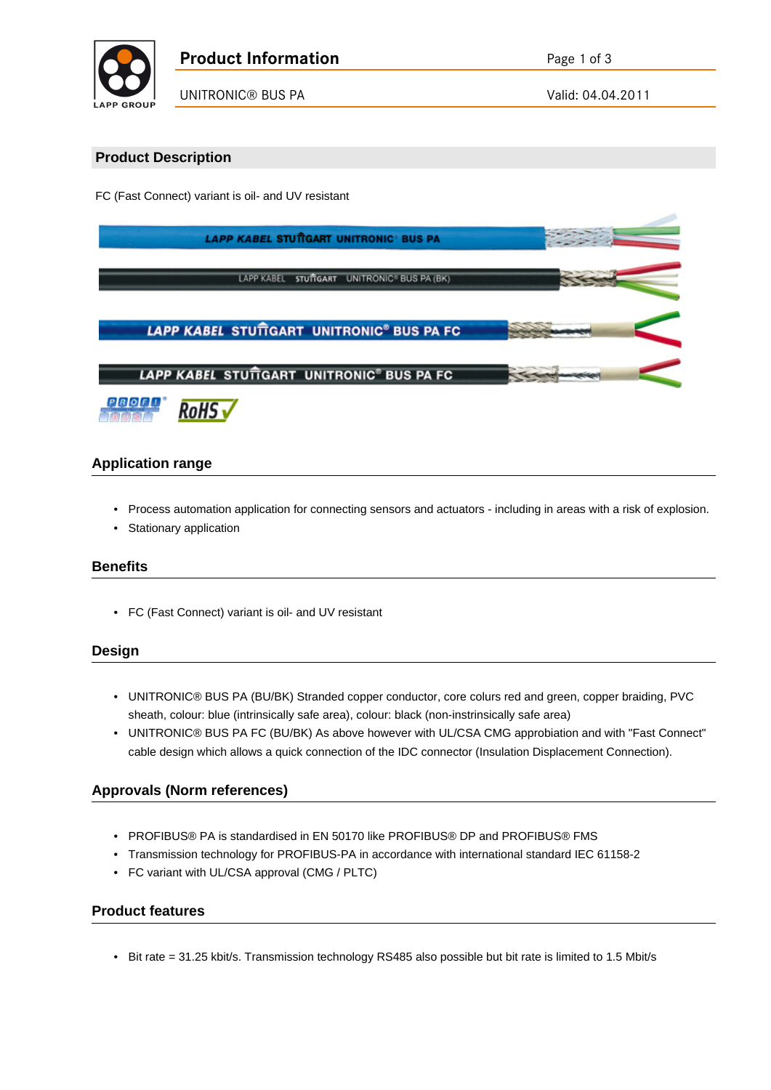

## **Product Description**

FC (Fast Connect) variant is oil- and UV resistant

| <b>LAPP KABEL STUTTGART UNITRONIC BUS PA</b>          |  |  |  |
|-------------------------------------------------------|--|--|--|
| LAPP KABEL STUTTGART UNITRONIC® BUS PA (BK)           |  |  |  |
| LAPP KABEL STUTTGART UNITRONIC <sup>®</sup> BUS PA FC |  |  |  |
| LAPP KABEL STUTGART UNITRONIC <sup>®</sup> BUS PA FC  |  |  |  |
| $PIR$ $O$ $FI$ $I$<br>$\overline{\phantom{a}}$        |  |  |  |

## **Application range**

- Process automation application for connecting sensors and actuators including in areas with a risk of explosion.
- Stationary application

KOH5 V

#### **Benefits**

• FC (Fast Connect) variant is oil- and UV resistant

#### **Design**

- UNITRONIC® BUS PA (BU/BK) Stranded copper conductor, core colurs red and green, copper braiding, PVC sheath, colour: blue (intrinsically safe area), colour: black (non-instrinsically safe area)
- UNITRONIC® BUS PA FC (BU/BK) As above however with UL/CSA CMG approbiation and with "Fast Connect" cable design which allows a quick connection of the IDC connector (Insulation Displacement Connection).

## **Approvals (Norm references)**

- PROFIBUS® PA is standardised in EN 50170 like PROFIBUS® DP and PROFIBUS® FMS
- Transmission technology for PROFIBUS-PA in accordance with international standard IEC 61158-2
- FC variant with UL/CSA approval (CMG / PLTC)

#### **Product features**

• Bit rate = 31.25 kbit/s. Transmission technology RS485 also possible but bit rate is limited to 1.5 Mbit/s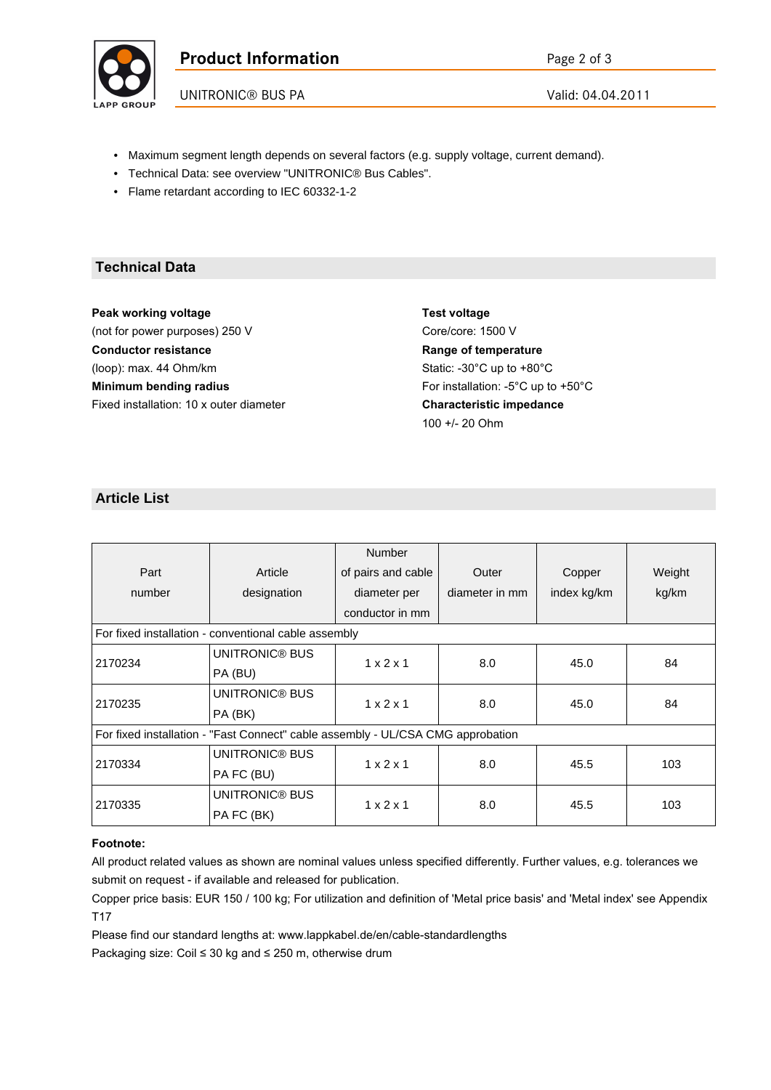

UNITRONIC® BUS PA Valid: 04.04.2011

- Maximum segment length depends on several factors (e.g. supply voltage, current demand).
- Technical Data: see overview "UNITRONIC® Bus Cables".
- Flame retardant according to IEC 60332-1-2

## **Technical Data**

**Peak working voltage** (not for power purposes) 250 V **Conductor resistance** (loop): max. 44 Ohm/km **Minimum bending radius** Fixed installation: 10 x outer diameter

**Test voltage** Core/core: 1500 V **Range of temperature** Static: -30°C up to +80°C For installation: -5°C up to +50°C **Characteristic impedance** 100 +/- 20 Ohm

# **Article List**

|                                                                                 |                | <b>Number</b>         |                |             |        |
|---------------------------------------------------------------------------------|----------------|-----------------------|----------------|-------------|--------|
| Part                                                                            | Article        | of pairs and cable    | Outer          | Copper      | Weight |
| number                                                                          | designation    | diameter per          | diameter in mm | index kg/km | kg/km  |
|                                                                                 |                | conductor in mm       |                |             |        |
| For fixed installation - conventional cable assembly                            |                |                       |                |             |        |
| 2170234                                                                         | UNITRONIC® BUS | $1 \times 2 \times 1$ | 8.0            | 45.0        | 84     |
|                                                                                 | PA (BU)        |                       |                |             |        |
| 2170235                                                                         | UNITRONIC® BUS | $1 \times 2 \times 1$ | 8.0            | 45.0        | 84     |
|                                                                                 | PA (BK)        |                       |                |             |        |
| For fixed installation - "Fast Connect" cable assembly - UL/CSA CMG approbation |                |                       |                |             |        |
| 2170334                                                                         | UNITRONIC® BUS | $1 \times 2 \times 1$ | 8.0            | 45.5        | 103    |
|                                                                                 | PA FC (BU)     |                       |                |             |        |
| 2170335                                                                         | UNITRONIC® BUS | $1 \times 2 \times 1$ | 8.0            | 45.5        | 103    |
|                                                                                 | PA FC (BK)     |                       |                |             |        |

#### **Footnote:**

All product related values as shown are nominal values unless specified differently. Further values, e.g. tolerances we submit on request - if available and released for publication.

Copper price basis: EUR 150 / 100 kg; For utilization and definition of 'Metal price basis' and 'Metal index' see Appendix T17

Please find our standard lengths at: www.lappkabel.de/en/cable-standardlengths

Packaging size: Coil  $\leq 30$  kg and  $\leq 250$  m, otherwise drum